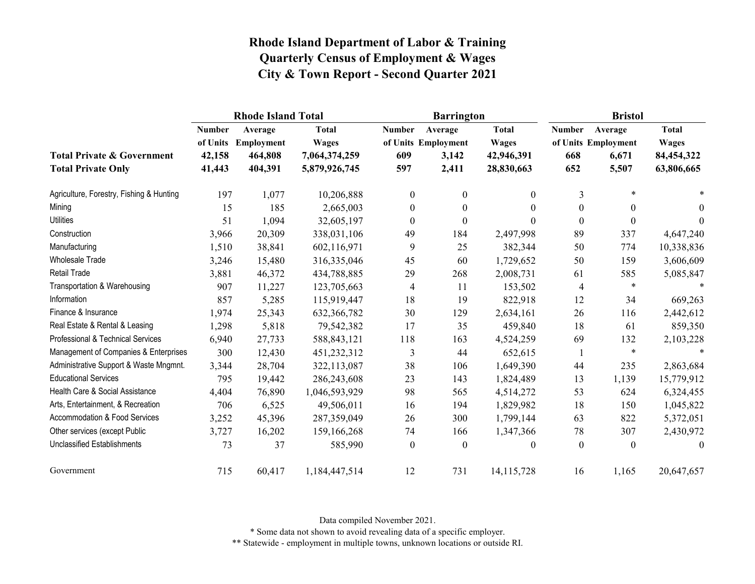|                                                                    |                                               | <b>Rhode Island Total</b>                   |                                                                |                             | <b>Barrington</b>                                |                                                          | <b>Bristol</b>              |                                                  |                                                          |
|--------------------------------------------------------------------|-----------------------------------------------|---------------------------------------------|----------------------------------------------------------------|-----------------------------|--------------------------------------------------|----------------------------------------------------------|-----------------------------|--------------------------------------------------|----------------------------------------------------------|
| <b>Total Private &amp; Government</b><br><b>Total Private Only</b> | <b>Number</b><br>of Units<br>42,158<br>41,443 | Average<br>Employment<br>464,808<br>404,391 | <b>Total</b><br><b>Wages</b><br>7,064,374,259<br>5,879,926,745 | <b>Number</b><br>609<br>597 | Average<br>of Units Employment<br>3,142<br>2,411 | <b>Total</b><br><b>Wages</b><br>42,946,391<br>28,830,663 | <b>Number</b><br>668<br>652 | Average<br>of Units Employment<br>6,671<br>5,507 | <b>Total</b><br><b>Wages</b><br>84,454,322<br>63,806,665 |
| Agriculture, Forestry, Fishing & Hunting                           | 197                                           | 1,077                                       | 10,206,888                                                     | $\overline{0}$              | $\mathbf{0}$                                     | $\overline{0}$                                           | 3                           | $\ast$                                           |                                                          |
| Mining                                                             | 15                                            | 185                                         | 2,665,003                                                      | $\theta$                    | $\theta$                                         | $\theta$                                                 | $\theta$                    | $\mathbf{0}$                                     | $\theta$                                                 |
| <b>Utilities</b>                                                   | 51                                            | 1,094                                       | 32,605,197                                                     | $\boldsymbol{0}$            | $\boldsymbol{0}$                                 | 0                                                        | $\boldsymbol{0}$            | $\boldsymbol{0}$                                 | $\theta$                                                 |
| Construction                                                       | 3,966                                         | 20,309                                      | 338,031,106                                                    | 49                          | 184                                              | 2,497,998                                                | 89                          | 337                                              | 4,647,240                                                |
| Manufacturing                                                      | 1,510                                         | 38,841                                      | 602,116,971                                                    | 9                           | 25                                               | 382,344                                                  | 50                          | 774                                              | 10,338,836                                               |
| <b>Wholesale Trade</b>                                             | 3,246                                         | 15,480                                      | 316,335,046                                                    | 45                          | 60                                               | 1,729,652                                                | 50                          | 159                                              | 3,606,609                                                |
| <b>Retail Trade</b>                                                | 3,881                                         | 46,372                                      | 434,788,885                                                    | 29                          | 268                                              | 2,008,731                                                | 61                          | 585                                              | 5,085,847                                                |
| Transportation & Warehousing                                       | 907                                           | 11,227                                      | 123,705,663                                                    | $\overline{4}$              | 11                                               | 153,502                                                  | 4                           | $\ast$                                           | $\ast$                                                   |
| Information                                                        | 857                                           | 5,285                                       | 115,919,447                                                    | 18                          | 19                                               | 822,918                                                  | 12                          | 34                                               | 669,263                                                  |
| Finance & Insurance                                                | 1,974                                         | 25,343                                      | 632,366,782                                                    | 30                          | 129                                              | 2,634,161                                                | 26                          | 116                                              | 2,442,612                                                |
| Real Estate & Rental & Leasing                                     | 1,298                                         | 5,818                                       | 79,542,382                                                     | 17                          | 35                                               | 459,840                                                  | 18                          | 61                                               | 859,350                                                  |
| Professional & Technical Services                                  | 6,940                                         | 27,733                                      | 588, 843, 121                                                  | 118                         | 163                                              | 4,524,259                                                | 69                          | 132                                              | 2,103,228                                                |
| Management of Companies & Enterprises                              | 300                                           | 12,430                                      | 451,232,312                                                    | 3                           | 44                                               | 652,615                                                  | 1                           | $\ast$                                           |                                                          |
| Administrative Support & Waste Mngmnt.                             | 3,344                                         | 28,704                                      | 322,113,087                                                    | 38                          | 106                                              | 1,649,390                                                | 44                          | 235                                              | 2,863,684                                                |
| <b>Educational Services</b>                                        | 795                                           | 19,442                                      | 286,243,608                                                    | 23                          | 143                                              | 1,824,489                                                | 13                          | 1,139                                            | 15,779,912                                               |
| Health Care & Social Assistance                                    | 4,404                                         | 76,890                                      | 1,046,593,929                                                  | 98                          | 565                                              | 4,514,272                                                | 53                          | 624                                              | 6,324,455                                                |
| Arts, Entertainment, & Recreation                                  | 706                                           | 6,525                                       | 49,506,011                                                     | 16                          | 194                                              | 1,829,982                                                | 18                          | 150                                              | 1,045,822                                                |
| Accommodation & Food Services                                      | 3,252                                         | 45,396                                      | 287,359,049                                                    | 26                          | 300                                              | 1,799,144                                                | 63                          | 822                                              | 5,372,051                                                |
| Other services (except Public                                      | 3,727                                         | 16,202                                      | 159,166,268                                                    | 74                          | 166                                              | 1,347,366                                                | 78                          | 307                                              | 2,430,972                                                |
| <b>Unclassified Establishments</b>                                 | 73                                            | 37                                          | 585,990                                                        | $\mathbf{0}$                | $\boldsymbol{0}$                                 | $\theta$                                                 | $\boldsymbol{0}$            | $\mathbf{0}$                                     | $\mathbf{0}$                                             |
| Government                                                         | 715                                           | 60,417                                      | 1,184,447,514                                                  | 12                          | 731                                              | 14,115,728                                               | 16                          | 1,165                                            | 20,647,657                                               |

Data compiled November 2021.

\* Some data not shown to avoid revealing data of a specific employer.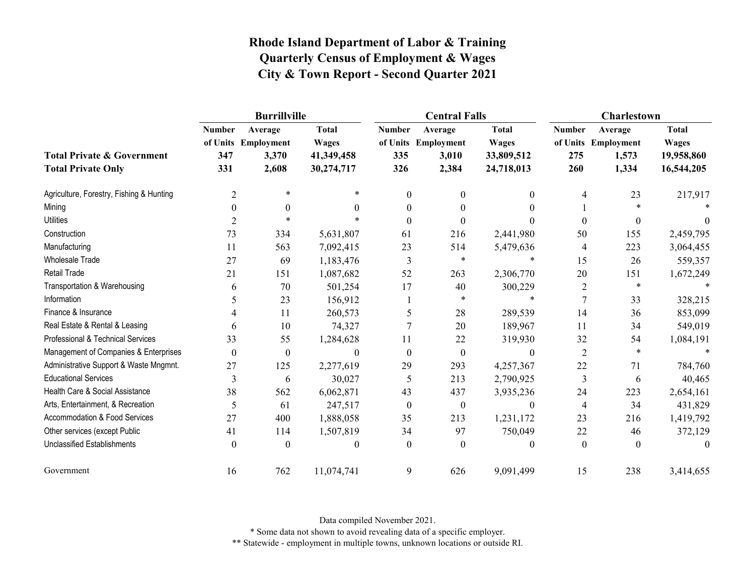|                                                                    |                             | <b>Burrillville</b>                              |                                                          |                             | <b>Central Falls</b>                             |                                                          | Charlestown                 |                                                  |                                                          |
|--------------------------------------------------------------------|-----------------------------|--------------------------------------------------|----------------------------------------------------------|-----------------------------|--------------------------------------------------|----------------------------------------------------------|-----------------------------|--------------------------------------------------|----------------------------------------------------------|
| <b>Total Private &amp; Government</b><br><b>Total Private Only</b> | <b>Number</b><br>347<br>331 | Average<br>of Units Employment<br>3,370<br>2,608 | <b>Total</b><br><b>Wages</b><br>41,349,458<br>30,274,717 | <b>Number</b><br>335<br>326 | Average<br>of Units Employment<br>3,010<br>2,384 | <b>Total</b><br><b>Wages</b><br>33,809,512<br>24,718,013 | <b>Number</b><br>275<br>260 | Average<br>of Units Employment<br>1,573<br>1,334 | <b>Total</b><br><b>Wages</b><br>19,958,860<br>16,544,205 |
| Agriculture, Forestry, Fishing & Hunting                           | $\overline{2}$              | $\ast$                                           | *                                                        | $\theta$                    | $\theta$                                         | 0                                                        | 4                           | 23                                               | 217,917                                                  |
| Mining                                                             | 0                           | $\Omega$                                         | 0                                                        | $\Omega$                    | 0                                                | 0                                                        |                             |                                                  |                                                          |
| <b>Utilities</b>                                                   | 2                           | $\star$                                          |                                                          | $\Omega$                    | 0                                                |                                                          | $\theta$                    | $\mathbf{0}$                                     |                                                          |
| Construction                                                       | 73                          | 334                                              | 5,631,807                                                | 61                          | 216                                              | 2,441,980                                                | 50                          | 155                                              | 2,459,795                                                |
| Manufacturing                                                      | 11                          | 563                                              | 7,092,415                                                | 23                          | 514                                              | 5,479,636                                                | 4                           | 223                                              | 3,064,455                                                |
| Wholesale Trade                                                    | 27                          | 69                                               | 1,183,476                                                | 3                           | $\ast$                                           | $\ast$                                                   | 15                          | 26                                               | 559,357                                                  |
| <b>Retail Trade</b>                                                | 21                          | 151                                              | 1,087,682                                                | 52                          | 263                                              | 2,306,770                                                | 20                          | 151                                              | 1,672,249                                                |
| Transportation & Warehousing                                       | 6                           | 70                                               | 501,254                                                  | 17                          | 40                                               | 300,229                                                  | 2                           | $\ast$                                           |                                                          |
| Information                                                        | 5                           | 23                                               | 156,912                                                  |                             | $\ast$                                           | $\ast$                                                   | 7                           | 33                                               | 328,215                                                  |
| Finance & Insurance                                                |                             | 11                                               | 260,573                                                  | 5                           | 28                                               | 289,539                                                  | 14                          | 36                                               | 853,099                                                  |
| Real Estate & Rental & Leasing                                     | 6                           | 10                                               | 74,327                                                   |                             | 20                                               | 189,967                                                  | 11                          | 34                                               | 549,019                                                  |
| Professional & Technical Services                                  | 33                          | 55                                               | 1,284,628                                                | 11                          | 22                                               | 319,930                                                  | 32                          | 54                                               | 1,084,191                                                |
| Management of Companies & Enterprises                              | $\Omega$                    | $\boldsymbol{0}$                                 | $\theta$                                                 | $\Omega$                    | $\overline{0}$                                   | $\theta$                                                 | $\overline{2}$              | $\ast$                                           |                                                          |
| Administrative Support & Waste Mngmnt.                             | 27                          | 125                                              | 2,277,619                                                | 29                          | 293                                              | 4,257,367                                                | 22                          | 71                                               | 784,760                                                  |
| <b>Educational Services</b>                                        | 3                           | 6                                                | 30,027                                                   | 5                           | 213                                              | 2,790,925                                                | $\mathfrak{Z}$              | 6                                                | 40,465                                                   |
| Health Care & Social Assistance                                    | 38                          | 562                                              | 6,062,871                                                | 43                          | 437                                              | 3,935,236                                                | 24                          | 223                                              | 2,654,161                                                |
| Arts, Entertainment, & Recreation                                  | 5                           | 61                                               | 247,517                                                  | $\mathbf{0}$                | $\overline{0}$                                   | $\theta$                                                 | $\overline{4}$              | 34                                               | 431,829                                                  |
| Accommodation & Food Services                                      | 27                          | 400                                              | 1,888,058                                                | 35                          | 213                                              | 1,231,172                                                | 23                          | 216                                              | 1,419,792                                                |
| Other services (except Public                                      | 41                          | 114                                              | 1,507,819                                                | 34                          | 97                                               | 750,049                                                  | 22                          | 46                                               | 372,129                                                  |
| <b>Unclassified Establishments</b>                                 | $\theta$                    | $\theta$                                         | 0                                                        | $\theta$                    | $\theta$                                         | 0                                                        | $\boldsymbol{0}$            | $\theta$                                         | 0                                                        |
| Government                                                         | 16                          | 762                                              | 11,074,741                                               | 9                           | 626                                              | 9,091,499                                                | 15                          | 238                                              | 3,414,655                                                |

Data compiled November 2021.

\* Some data not shown to avoid revealing data of a specific employer.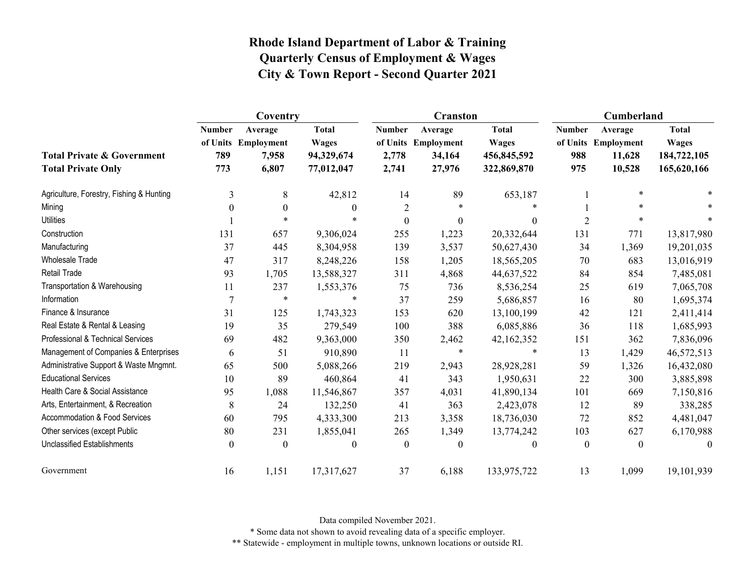|                                                                    |                             | Coventry                                         |                                                          |                                 | <b>Cranston</b>                                    |                                                            | Cumberland                  |                                                    |                                                            |
|--------------------------------------------------------------------|-----------------------------|--------------------------------------------------|----------------------------------------------------------|---------------------------------|----------------------------------------------------|------------------------------------------------------------|-----------------------------|----------------------------------------------------|------------------------------------------------------------|
| <b>Total Private &amp; Government</b><br><b>Total Private Only</b> | <b>Number</b><br>789<br>773 | Average<br>of Units Employment<br>7,958<br>6,807 | <b>Total</b><br><b>Wages</b><br>94,329,674<br>77,012,047 | <b>Number</b><br>2,778<br>2,741 | Average<br>of Units Employment<br>34,164<br>27,976 | <b>Total</b><br><b>Wages</b><br>456,845,592<br>322,869,870 | <b>Number</b><br>988<br>975 | Average<br>of Units Employment<br>11,628<br>10,528 | <b>Total</b><br><b>Wages</b><br>184,722,105<br>165,620,166 |
| Agriculture, Forestry, Fishing & Hunting                           | 3                           | 8                                                | 42,812                                                   | 14                              | 89                                                 | 653,187                                                    |                             | $\ast$                                             |                                                            |
| Mining                                                             | $\theta$                    | $\theta$                                         | $\theta$                                                 | $\overline{2}$                  | *                                                  |                                                            |                             | $\ast$                                             |                                                            |
| <b>Utilities</b>                                                   |                             | $\star$                                          |                                                          | $\boldsymbol{0}$                | $\boldsymbol{0}$                                   | $\theta$                                                   | $\overline{2}$              | $\ast$                                             | $\ast$                                                     |
| Construction                                                       | 131                         | 657                                              | 9,306,024                                                | 255                             | 1,223                                              | 20,332,644                                                 | 131                         | 771                                                | 13,817,980                                                 |
| Manufacturing                                                      | 37                          | 445                                              | 8,304,958                                                | 139                             | 3,537                                              | 50,627,430                                                 | 34                          | 1,369                                              | 19,201,035                                                 |
| <b>Wholesale Trade</b>                                             | 47                          | 317                                              | 8,248,226                                                | 158                             | 1,205                                              | 18,565,205                                                 | 70                          | 683                                                | 13,016,919                                                 |
| <b>Retail Trade</b>                                                | 93                          | 1,705                                            | 13,588,327                                               | 311                             | 4,868                                              | 44,637,522                                                 | 84                          | 854                                                | 7,485,081                                                  |
| Transportation & Warehousing                                       | 11                          | 237                                              | 1,553,376                                                | 75                              | 736                                                | 8,536,254                                                  | 25                          | 619                                                | 7,065,708                                                  |
| Information                                                        | $\overline{7}$              | $\star$                                          | $\ast$                                                   | 37                              | 259                                                | 5,686,857                                                  | 16                          | 80                                                 | 1,695,374                                                  |
| Finance & Insurance                                                | 31                          | 125                                              | 1,743,323                                                | 153                             | 620                                                | 13,100,199                                                 | 42                          | 121                                                | 2,411,414                                                  |
| Real Estate & Rental & Leasing                                     | 19                          | 35                                               | 279,549                                                  | 100                             | 388                                                | 6,085,886                                                  | 36                          | 118                                                | 1,685,993                                                  |
| Professional & Technical Services                                  | 69                          | 482                                              | 9,363,000                                                | 350                             | 2,462                                              | 42,162,352                                                 | 151                         | 362                                                | 7,836,096                                                  |
| Management of Companies & Enterprises                              | 6                           | 51                                               | 910,890                                                  | 11                              | $\ast$                                             | $\star$                                                    | 13                          | 1,429                                              | 46,572,513                                                 |
| Administrative Support & Waste Mngmnt.                             | 65                          | 500                                              | 5,088,266                                                | 219                             | 2,943                                              | 28,928,281                                                 | 59                          | 1,326                                              | 16,432,080                                                 |
| <b>Educational Services</b>                                        | 10                          | 89                                               | 460,864                                                  | 41                              | 343                                                | 1,950,631                                                  | 22                          | 300                                                | 3,885,898                                                  |
| Health Care & Social Assistance                                    | 95                          | 1,088                                            | 11,546,867                                               | 357                             | 4,031                                              | 41,890,134                                                 | 101                         | 669                                                | 7,150,816                                                  |
| Arts, Entertainment, & Recreation                                  | 8                           | 24                                               | 132,250                                                  | 41                              | 363                                                | 2,423,078                                                  | 12                          | 89                                                 | 338,285                                                    |
| Accommodation & Food Services                                      | 60                          | 795                                              | 4,333,300                                                | 213                             | 3,358                                              | 18,736,030                                                 | 72                          | 852                                                | 4,481,047                                                  |
| Other services (except Public                                      | 80                          | 231                                              | 1,855,041                                                | 265                             | 1,349                                              | 13,774,242                                                 | 103                         | 627                                                | 6,170,988                                                  |
| <b>Unclassified Establishments</b>                                 | $\boldsymbol{0}$            | $\boldsymbol{0}$                                 | $\mathbf{0}$                                             | $\boldsymbol{0}$                | $\boldsymbol{0}$                                   | $\theta$                                                   | $\boldsymbol{0}$            | $\boldsymbol{0}$                                   | $\theta$                                                   |
| Government                                                         | 16                          | 1,151                                            | 17,317,627                                               | 37                              | 6,188                                              | 133,975,722                                                | 13                          | 1,099                                              | 19,101,939                                                 |

Data compiled November 2021.

\* Some data not shown to avoid revealing data of a specific employer.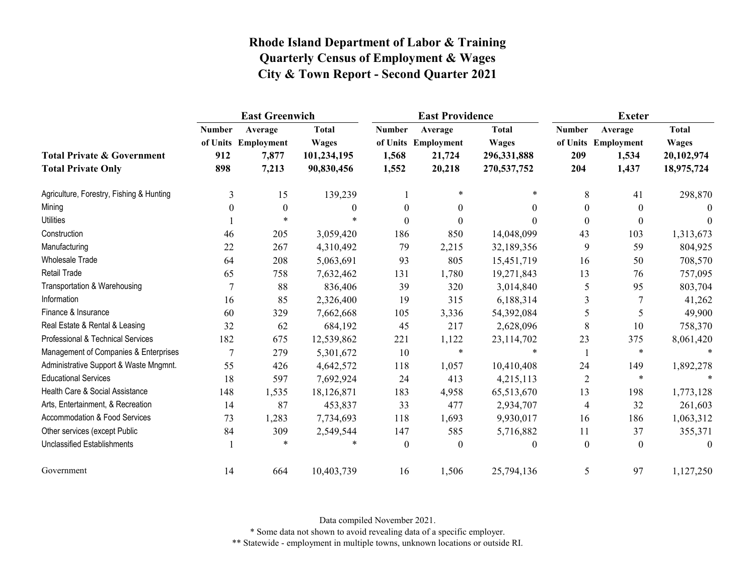|                                                                    |                             | <b>East Greenwich</b>                            |                                                           |                                 | <b>East Providence</b>                             |                                                            | <b>Exeter</b>               |                                                  |                                                          |
|--------------------------------------------------------------------|-----------------------------|--------------------------------------------------|-----------------------------------------------------------|---------------------------------|----------------------------------------------------|------------------------------------------------------------|-----------------------------|--------------------------------------------------|----------------------------------------------------------|
| <b>Total Private &amp; Government</b><br><b>Total Private Only</b> | <b>Number</b><br>912<br>898 | Average<br>of Units Employment<br>7,877<br>7,213 | <b>Total</b><br><b>Wages</b><br>101,234,195<br>90,830,456 | <b>Number</b><br>1,568<br>1,552 | Average<br>of Units Employment<br>21,724<br>20,218 | <b>Total</b><br><b>Wages</b><br>296,331,888<br>270,537,752 | <b>Number</b><br>209<br>204 | Average<br>of Units Employment<br>1,534<br>1,437 | <b>Total</b><br><b>Wages</b><br>20,102,974<br>18,975,724 |
| Agriculture, Forestry, Fishing & Hunting                           | 3                           | 15                                               | 139,239                                                   |                                 | $\ast$                                             | $\ast$                                                     | 8                           | 41                                               | 298,870                                                  |
| Mining                                                             | $\theta$                    | $\boldsymbol{0}$                                 | $\theta$                                                  | $\theta$                        | $\theta$                                           | $\Omega$                                                   | $\theta$                    | $\overline{0}$                                   | $\theta$                                                 |
| <b>Utilities</b>                                                   |                             | $\star$                                          |                                                           | $\boldsymbol{0}$                | $\boldsymbol{0}$                                   | $\Omega$                                                   | $\boldsymbol{0}$            | $\boldsymbol{0}$                                 |                                                          |
| Construction                                                       | 46                          | 205                                              | 3,059,420                                                 | 186                             | 850                                                | 14,048,099                                                 | 43                          | 103                                              | 1,313,673                                                |
| Manufacturing                                                      | 22                          | 267                                              | 4,310,492                                                 | 79                              | 2,215                                              | 32,189,356                                                 | 9                           | 59                                               | 804,925                                                  |
| Wholesale Trade                                                    | 64                          | 208                                              | 5,063,691                                                 | 93                              | 805                                                | 15,451,719                                                 | 16                          | 50                                               | 708,570                                                  |
| Retail Trade                                                       | 65                          | 758                                              | 7,632,462                                                 | 131                             | 1,780                                              | 19,271,843                                                 | 13                          | 76                                               | 757,095                                                  |
| Transportation & Warehousing                                       | 7                           | 88                                               | 836,406                                                   | 39                              | 320                                                | 3,014,840                                                  | 5                           | 95                                               | 803,704                                                  |
| Information                                                        | 16                          | 85                                               | 2,326,400                                                 | 19                              | 315                                                | 6,188,314                                                  | 3                           | 7                                                | 41,262                                                   |
| Finance & Insurance                                                | 60                          | 329                                              | 7,662,668                                                 | 105                             | 3,336                                              | 54,392,084                                                 | 5                           | 5                                                | 49,900                                                   |
| Real Estate & Rental & Leasing                                     | 32                          | 62                                               | 684,192                                                   | 45                              | 217                                                | 2,628,096                                                  | 8                           | 10                                               | 758,370                                                  |
| Professional & Technical Services                                  | 182                         | 675                                              | 12,539,862                                                | 221                             | 1,122                                              | 23,114,702                                                 | 23                          | 375                                              | 8,061,420                                                |
| Management of Companies & Enterprises                              | $\overline{7}$              | 279                                              | 5,301,672                                                 | 10                              | $\ast$                                             |                                                            |                             | $\ast$                                           |                                                          |
| Administrative Support & Waste Mngmnt.                             | 55                          | 426                                              | 4,642,572                                                 | 118                             | 1,057                                              | 10,410,408                                                 | 24                          | 149                                              | 1,892,278                                                |
| <b>Educational Services</b>                                        | 18                          | 597                                              | 7,692,924                                                 | 24                              | 413                                                | 4,215,113                                                  | $\overline{2}$              | $\ast$                                           |                                                          |
| Health Care & Social Assistance                                    | 148                         | 1,535                                            | 18,126,871                                                | 183                             | 4,958                                              | 65,513,670                                                 | 13                          | 198                                              | 1,773,128                                                |
| Arts, Entertainment, & Recreation                                  | 14                          | 87                                               | 453,837                                                   | 33                              | 477                                                | 2,934,707                                                  | $\overline{4}$              | 32                                               | 261,603                                                  |
| Accommodation & Food Services                                      | 73                          | 1,283                                            | 7,734,693                                                 | 118                             | 1,693                                              | 9,930,017                                                  | 16                          | 186                                              | 1,063,312                                                |
| Other services (except Public                                      | 84                          | 309                                              | 2,549,544                                                 | 147                             | 585                                                | 5,716,882                                                  | 11                          | 37                                               | 355,371                                                  |
| <b>Unclassified Establishments</b>                                 |                             | $\ast$                                           | *                                                         | $\theta$                        | $\theta$                                           | $\theta$                                                   | $\mathbf{0}$                | $\overline{0}$                                   | $\theta$                                                 |
| Government                                                         | 14                          | 664                                              | 10,403,739                                                | 16                              | 1,506                                              | 25,794,136                                                 | 5                           | 97                                               | 1,127,250                                                |

Data compiled November 2021.

\* Some data not shown to avoid revealing data of a specific employer.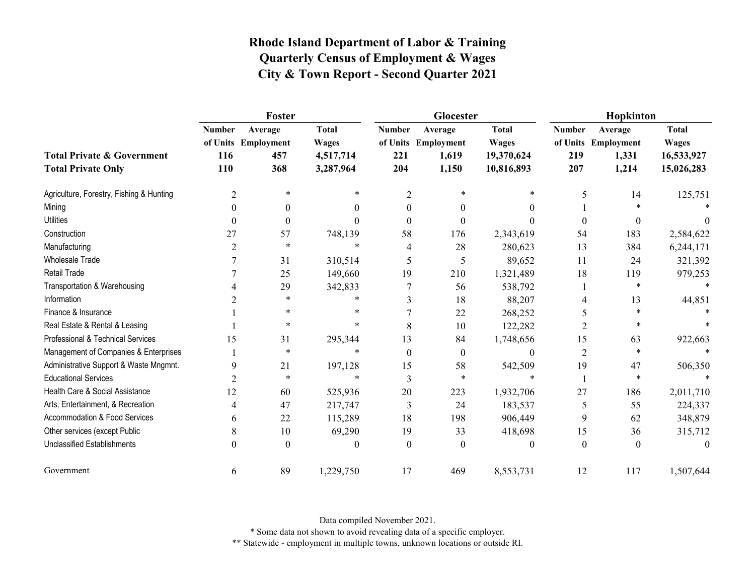|                                                                    |                             | Foster                                       |                                                        |                             | Glocester                                        |                                                          | Hopkinton                   |                                                  |                                                          |  |
|--------------------------------------------------------------------|-----------------------------|----------------------------------------------|--------------------------------------------------------|-----------------------------|--------------------------------------------------|----------------------------------------------------------|-----------------------------|--------------------------------------------------|----------------------------------------------------------|--|
| <b>Total Private &amp; Government</b><br><b>Total Private Only</b> | <b>Number</b><br>116<br>110 | Average<br>of Units Employment<br>457<br>368 | <b>Total</b><br><b>Wages</b><br>4,517,714<br>3,287,964 | <b>Number</b><br>221<br>204 | Average<br>of Units Employment<br>1,619<br>1,150 | <b>Total</b><br><b>Wages</b><br>19,370,624<br>10,816,893 | <b>Number</b><br>219<br>207 | Average<br>of Units Employment<br>1,331<br>1,214 | <b>Total</b><br><b>Wages</b><br>16,533,927<br>15,026,283 |  |
| Agriculture, Forestry, Fishing & Hunting                           | 2                           | $\ast$                                       | $\ast$                                                 | $\overline{2}$              | $\ast$                                           | $\ast$                                                   | 5                           | 14                                               | 125,751                                                  |  |
| Mining                                                             | $\Omega$                    | $\theta$                                     | $\theta$                                               | $\theta$                    | $\theta$                                         | 0                                                        |                             |                                                  |                                                          |  |
| <b>Utilities</b>                                                   | $\theta$                    | $\boldsymbol{0}$                             | 0                                                      | $\theta$                    | $\theta$                                         |                                                          | $\theta$                    | $\theta$                                         | $\theta$                                                 |  |
| Construction                                                       | 27                          | 57                                           | 748,139                                                | 58                          | 176                                              | 2,343,619                                                | 54                          | 183                                              | 2,584,622                                                |  |
| Manufacturing                                                      | 2                           | $\ast$                                       | $\ast$                                                 | 4                           | 28                                               | 280,623                                                  | 13                          | 384                                              | 6,244,171                                                |  |
| <b>Wholesale Trade</b>                                             |                             | 31                                           | 310,514                                                | 5                           | 5                                                | 89,652                                                   | 11                          | 24                                               | 321,392                                                  |  |
| <b>Retail Trade</b>                                                |                             | 25                                           | 149,660                                                | 19                          | 210                                              | 1,321,489                                                | 18                          | 119                                              | 979,253                                                  |  |
| Transportation & Warehousing                                       |                             | 29                                           | 342,833                                                |                             | 56                                               | 538,792                                                  |                             | $\ast$                                           | $\ast$                                                   |  |
| Information                                                        |                             | $\ast$                                       | $\ast$                                                 |                             | 18                                               | 88,207                                                   | $\overline{4}$              | 13                                               | 44,851                                                   |  |
| Finance & Insurance                                                |                             | $\ast$                                       | $\ast$                                                 |                             | 22                                               | 268,252                                                  | 5                           | $\ast$                                           |                                                          |  |
| Real Estate & Rental & Leasing                                     |                             | $\ast$                                       | $\ast$                                                 | 8                           | 10                                               | 122,282                                                  | 2                           |                                                  |                                                          |  |
| Professional & Technical Services                                  | 15                          | 31                                           | 295,344                                                | 13                          | 84                                               | 1,748,656                                                | 15                          | 63                                               | 922,663                                                  |  |
| Management of Companies & Enterprises                              |                             | $\ast$                                       | $\ast$                                                 | $\theta$                    | $\theta$                                         | $\theta$                                                 | $\overline{2}$              | $\ast$                                           |                                                          |  |
| Administrative Support & Waste Mngmnt.                             | 9                           | 21                                           | 197,128                                                | 15                          | 58                                               | 542,509                                                  | 19                          | 47                                               | 506,350                                                  |  |
| <b>Educational Services</b>                                        | $\overline{2}$              | $\ast$                                       | $\ast$                                                 | 3                           | $\star$                                          | $\ast$                                                   |                             | $\ast$                                           |                                                          |  |
| Health Care & Social Assistance                                    | 12                          | 60                                           | 525,936                                                | 20                          | 223                                              | 1,932,706                                                | 27                          | 186                                              | 2,011,710                                                |  |
| Arts, Entertainment, & Recreation                                  |                             | 47                                           | 217,747                                                | 3                           | 24                                               | 183,537                                                  | 5                           | 55                                               | 224,337                                                  |  |
| Accommodation & Food Services                                      | 6                           | 22                                           | 115,289                                                | 18                          | 198                                              | 906,449                                                  | 9                           | 62                                               | 348,879                                                  |  |
| Other services (except Public                                      | 8                           | 10                                           | 69,290                                                 | 19                          | 33                                               | 418,698                                                  | 15                          | 36                                               | 315,712                                                  |  |
| <b>Unclassified Establishments</b>                                 | $\Omega$                    | $\theta$                                     | 0                                                      | $\theta$                    | $\Omega$                                         | $\theta$                                                 | $\theta$                    | $\theta$                                         | $\Omega$                                                 |  |
| Government                                                         | 6                           | 89                                           | 1,229,750                                              | 17                          | 469                                              | 8,553,731                                                | 12                          | 117                                              | 1,507,644                                                |  |

Data compiled November 2021.

\* Some data not shown to avoid revealing data of a specific employer.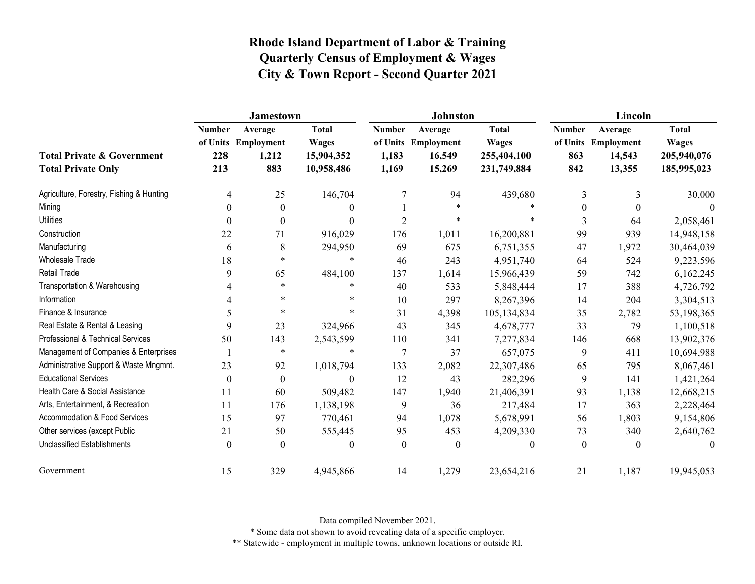|                                                                    | Jamestown                   |                                                |                                                          |                                 | <b>Johnston</b>                                    |                                                            | Lincoln                     |                                                    |                                                            |
|--------------------------------------------------------------------|-----------------------------|------------------------------------------------|----------------------------------------------------------|---------------------------------|----------------------------------------------------|------------------------------------------------------------|-----------------------------|----------------------------------------------------|------------------------------------------------------------|
| <b>Total Private &amp; Government</b><br><b>Total Private Only</b> | <b>Number</b><br>228<br>213 | Average<br>of Units Employment<br>1,212<br>883 | <b>Total</b><br><b>Wages</b><br>15,904,352<br>10,958,486 | <b>Number</b><br>1,183<br>1,169 | Average<br>of Units Employment<br>16,549<br>15,269 | <b>Total</b><br><b>Wages</b><br>255,404,100<br>231,749,884 | <b>Number</b><br>863<br>842 | Average<br>of Units Employment<br>14,543<br>13,355 | <b>Total</b><br><b>Wages</b><br>205,940,076<br>185,995,023 |
| Agriculture, Forestry, Fishing & Hunting                           | 4                           | 25                                             | 146,704                                                  |                                 | 94                                                 | 439,680                                                    | 3                           | 3                                                  | 30,000                                                     |
| Mining                                                             | $\Omega$                    | $\theta$                                       | $\theta$                                                 |                                 | $\ast$                                             |                                                            | $\theta$                    | $\Omega$                                           | $\theta$                                                   |
| <b>Utilities</b>                                                   | $\theta$                    | $\boldsymbol{0}$                               | $\theta$                                                 | $\overline{2}$                  | $\star$                                            | $\ast$                                                     | 3                           | 64                                                 | 2,058,461                                                  |
| Construction                                                       | 22                          | 71                                             | 916,029                                                  | 176                             | 1,011                                              | 16,200,881                                                 | 99                          | 939                                                | 14,948,158                                                 |
| Manufacturing                                                      | 6                           | 8                                              | 294,950                                                  | 69                              | 675                                                | 6,751,355                                                  | 47                          | 1,972                                              | 30,464,039                                                 |
| Wholesale Trade                                                    | 18                          | $\ast$                                         | $\ast$                                                   | 46                              | 243                                                | 4,951,740                                                  | 64                          | 524                                                | 9,223,596                                                  |
| <b>Retail Trade</b>                                                | 9                           | 65                                             | 484,100                                                  | 137                             | 1,614                                              | 15,966,439                                                 | 59                          | 742                                                | 6,162,245                                                  |
| Transportation & Warehousing                                       | 4                           | $\ast$                                         | $\ast$                                                   | 40                              | 533                                                | 5,848,444                                                  | 17                          | 388                                                | 4,726,792                                                  |
| Information                                                        |                             | $\ast$                                         | $\ast$                                                   | 10                              | 297                                                | 8,267,396                                                  | 14                          | 204                                                | 3,304,513                                                  |
| Finance & Insurance                                                | 5                           | $\ast$                                         | $\ast$                                                   | 31                              | 4,398                                              | 105,134,834                                                | 35                          | 2,782                                              | 53,198,365                                                 |
| Real Estate & Rental & Leasing                                     | 9                           | 23                                             | 324,966                                                  | 43                              | 345                                                | 4,678,777                                                  | 33                          | 79                                                 | 1,100,518                                                  |
| Professional & Technical Services                                  | 50                          | 143                                            | 2,543,599                                                | 110                             | 341                                                | 7,277,834                                                  | 146                         | 668                                                | 13,902,376                                                 |
| Management of Companies & Enterprises                              |                             | $\ast$                                         | $\ast$                                                   | 7                               | 37                                                 | 657,075                                                    | 9                           | 411                                                | 10,694,988                                                 |
| Administrative Support & Waste Mngmnt.                             | 23                          | 92                                             | 1,018,794                                                | 133                             | 2,082                                              | 22,307,486                                                 | 65                          | 795                                                | 8,067,461                                                  |
| <b>Educational Services</b>                                        | $\theta$                    | $\boldsymbol{0}$                               | $\mathbf{0}$                                             | 12                              | 43                                                 | 282,296                                                    | 9                           | 141                                                | 1,421,264                                                  |
| Health Care & Social Assistance                                    | 11                          | 60                                             | 509,482                                                  | 147                             | 1,940                                              | 21,406,391                                                 | 93                          | 1,138                                              | 12,668,215                                                 |
| Arts, Entertainment, & Recreation                                  | 11                          | 176                                            | 1,138,198                                                | 9                               | 36                                                 | 217,484                                                    | 17                          | 363                                                | 2,228,464                                                  |
| Accommodation & Food Services                                      | 15                          | 97                                             | 770,461                                                  | 94                              | 1,078                                              | 5,678,991                                                  | 56                          | 1,803                                              | 9,154,806                                                  |
| Other services (except Public                                      | 21                          | 50                                             | 555,445                                                  | 95                              | 453                                                | 4,209,330                                                  | 73                          | 340                                                | 2,640,762                                                  |
| Unclassified Establishments                                        | $\mathbf{0}$                | $\theta$                                       | $\mathbf{0}$                                             | $\mathbf{0}$                    | $\theta$                                           | $\mathbf{0}$                                               | $\mathbf{0}$                | $\mathbf{0}$                                       | $\theta$                                                   |
| Government                                                         | 15                          | 329                                            | 4,945,866                                                | 14                              | 1,279                                              | 23,654,216                                                 | 21                          | 1,187                                              | 19,945,053                                                 |

Data compiled November 2021.

\* Some data not shown to avoid revealing data of a specific employer.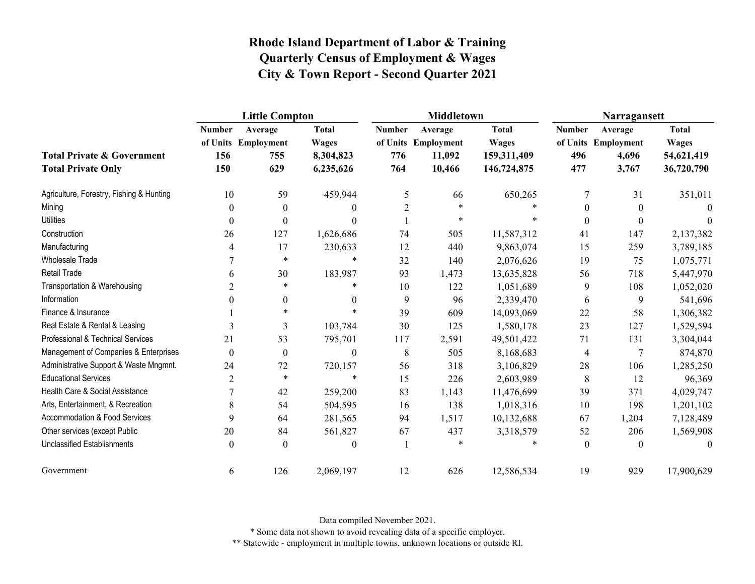|                                                                    | <b>Little Compton</b>       |                                              |                                                        |                             | <b>Middletown</b>                                  |                                                            | Narragansett                |                                                  |                                                          |
|--------------------------------------------------------------------|-----------------------------|----------------------------------------------|--------------------------------------------------------|-----------------------------|----------------------------------------------------|------------------------------------------------------------|-----------------------------|--------------------------------------------------|----------------------------------------------------------|
| <b>Total Private &amp; Government</b><br><b>Total Private Only</b> | <b>Number</b><br>156<br>150 | Average<br>of Units Employment<br>755<br>629 | <b>Total</b><br><b>Wages</b><br>8,304,823<br>6,235,626 | <b>Number</b><br>776<br>764 | Average<br>of Units Employment<br>11,092<br>10,466 | <b>Total</b><br><b>Wages</b><br>159,311,409<br>146,724,875 | <b>Number</b><br>496<br>477 | Average<br>of Units Employment<br>4,696<br>3,767 | <b>Total</b><br><b>Wages</b><br>54,621,419<br>36,720,790 |
| Agriculture, Forestry, Fishing & Hunting                           | 10                          | 59                                           | 459,944                                                | 5                           | 66                                                 | 650,265                                                    | 7                           | 31                                               | 351,011                                                  |
| Mining                                                             | $\theta$                    | $\boldsymbol{0}$                             | $\theta$                                               | 2                           | $\ast$                                             |                                                            | $\Omega$                    | $\theta$                                         | $\theta$                                                 |
| <b>Utilities</b>                                                   | $\boldsymbol{0}$            | $\boldsymbol{0}$                             | $\Omega$                                               |                             | $\ast$                                             |                                                            | $\boldsymbol{0}$            | $\boldsymbol{0}$                                 |                                                          |
| Construction                                                       | 26                          | 127                                          | 1,626,686                                              | 74                          | 505                                                | 11,587,312                                                 | 41                          | 147                                              | 2,137,382                                                |
| Manufacturing                                                      | 4                           | 17                                           | 230,633                                                | 12                          | 440                                                | 9,863,074                                                  | 15                          | 259                                              | 3,789,185                                                |
| <b>Wholesale Trade</b>                                             |                             | $\ast$                                       | $\ast$                                                 | 32                          | 140                                                | 2,076,626                                                  | 19                          | 75                                               | 1,075,771                                                |
| <b>Retail Trade</b>                                                | 6                           | 30                                           | 183,987                                                | 93                          | 1,473                                              | 13,635,828                                                 | 56                          | 718                                              | 5,447,970                                                |
| Transportation & Warehousing                                       | $\overline{2}$              | $\ast$                                       | *                                                      | 10                          | 122                                                | 1,051,689                                                  | 9                           | 108                                              | 1,052,020                                                |
| Information                                                        |                             | $\boldsymbol{0}$                             | $\theta$                                               | 9                           | 96                                                 | 2,339,470                                                  | 6                           | 9                                                | 541,696                                                  |
| Finance & Insurance                                                |                             | $\ast$                                       |                                                        | 39                          | 609                                                | 14,093,069                                                 | 22                          | 58                                               | 1,306,382                                                |
| Real Estate & Rental & Leasing                                     | 3                           | 3                                            | 103,784                                                | 30                          | 125                                                | 1,580,178                                                  | 23                          | 127                                              | 1,529,594                                                |
| Professional & Technical Services                                  | 21                          | 53                                           | 795,701                                                | 117                         | 2,591                                              | 49,501,422                                                 | 71                          | 131                                              | 3,304,044                                                |
| Management of Companies & Enterprises                              | $\boldsymbol{0}$            | $\boldsymbol{0}$                             | $\mathbf{0}$                                           | 8                           | 505                                                | 8,168,683                                                  | 4                           | 7                                                | 874,870                                                  |
| Administrative Support & Waste Mngmnt.                             | 24                          | 72                                           | 720,157                                                | 56                          | 318                                                | 3,106,829                                                  | 28                          | 106                                              | 1,285,250                                                |
| <b>Educational Services</b>                                        | $\overline{2}$              | $\ast$                                       | $\ast$                                                 | 15                          | 226                                                | 2,603,989                                                  | $8\,$                       | 12                                               | 96,369                                                   |
| Health Care & Social Assistance                                    | 7                           | 42                                           | 259,200                                                | 83                          | 1,143                                              | 11,476,699                                                 | 39                          | 371                                              | 4,029,747                                                |
| Arts, Entertainment, & Recreation                                  | 8                           | 54                                           | 504,595                                                | 16                          | 138                                                | 1,018,316                                                  | 10                          | 198                                              | 1,201,102                                                |
| Accommodation & Food Services                                      | 9                           | 64                                           | 281,565                                                | 94                          | 1,517                                              | 10,132,688                                                 | 67                          | 1,204                                            | 7,128,489                                                |
| Other services (except Public                                      | 20                          | 84                                           | 561,827                                                | 67                          | 437                                                | 3,318,579                                                  | 52                          | 206                                              | 1,569,908                                                |
| <b>Unclassified Establishments</b>                                 | $\boldsymbol{0}$            | $\theta$                                     | $\Omega$                                               | -1                          |                                                    |                                                            | $\theta$                    | $\theta$                                         | $\theta$                                                 |
| Government                                                         | 6                           | 126                                          | 2,069,197                                              | 12                          | 626                                                | 12,586,534                                                 | 19                          | 929                                              | 17,900,629                                               |

Data compiled November 2021.

\* Some data not shown to avoid revealing data of a specific employer.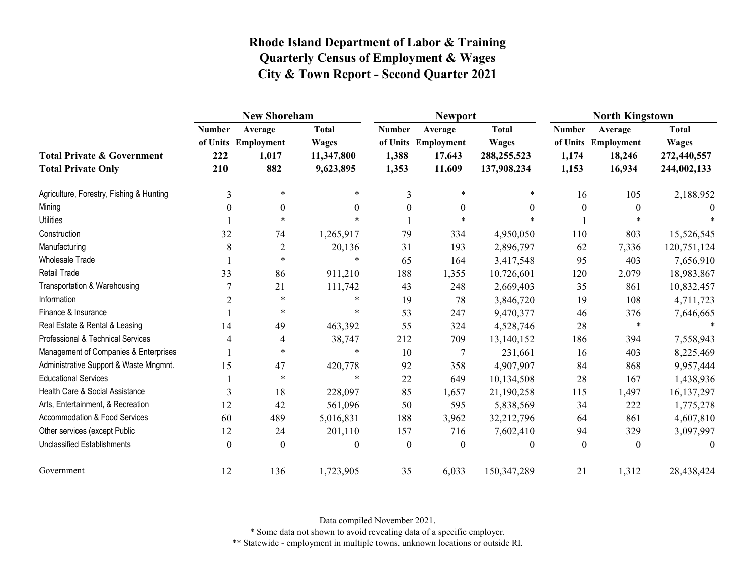|                                                                    |                             | <b>New Shoreham</b>                            |                                                         |                                 | <b>Newport</b>                                     |                                                            | <b>North Kingstown</b>          |                                                    |                                                            |
|--------------------------------------------------------------------|-----------------------------|------------------------------------------------|---------------------------------------------------------|---------------------------------|----------------------------------------------------|------------------------------------------------------------|---------------------------------|----------------------------------------------------|------------------------------------------------------------|
| <b>Total Private &amp; Government</b><br><b>Total Private Only</b> | <b>Number</b><br>222<br>210 | Average<br>of Units Employment<br>1,017<br>882 | <b>Total</b><br><b>Wages</b><br>11,347,800<br>9,623,895 | <b>Number</b><br>1,388<br>1,353 | Average<br>of Units Employment<br>17,643<br>11,609 | <b>Total</b><br><b>Wages</b><br>288,255,523<br>137,908,234 | <b>Number</b><br>1,174<br>1,153 | Average<br>of Units Employment<br>18,246<br>16,934 | <b>Total</b><br><b>Wages</b><br>272,440,557<br>244,002,133 |
| Agriculture, Forestry, Fishing & Hunting                           | 3                           | $\ast$                                         | $\ast$                                                  | 3                               | $\star$                                            | *                                                          | 16                              | 105                                                | 2,188,952                                                  |
| Mining                                                             | 0                           | $\theta$                                       | 0                                                       | $\theta$                        | $\boldsymbol{0}$                                   | $\theta$                                                   | $\theta$                        | $\theta$                                           | $\theta$                                                   |
| <b>Utilities</b>                                                   |                             | $\ast$                                         | $\ast$                                                  |                                 | $\ast$                                             |                                                            |                                 |                                                    |                                                            |
| Construction                                                       | 32                          | 74                                             | 1,265,917                                               | 79                              | 334                                                | 4,950,050                                                  | 110                             | 803                                                | 15,526,545                                                 |
| Manufacturing                                                      | 8                           | $\overline{c}$                                 | 20,136                                                  | 31                              | 193                                                | 2,896,797                                                  | 62                              | 7,336                                              | 120,751,124                                                |
| <b>Wholesale Trade</b>                                             |                             | $\ast$                                         | $\ast$                                                  | 65                              | 164                                                | 3,417,548                                                  | 95                              | 403                                                | 7,656,910                                                  |
| Retail Trade                                                       | 33                          | 86                                             | 911,210                                                 | 188                             | 1,355                                              | 10,726,601                                                 | 120                             | 2,079                                              | 18,983,867                                                 |
| Transportation & Warehousing                                       |                             | 21                                             | 111,742                                                 | 43                              | 248                                                | 2,669,403                                                  | 35                              | 861                                                | 10,832,457                                                 |
| Information                                                        | $\overline{2}$              | $\ast$                                         | $\ast$                                                  | 19                              | 78                                                 | 3,846,720                                                  | 19                              | 108                                                | 4,711,723                                                  |
| Finance & Insurance                                                |                             | $\ast$                                         | $\ast$                                                  | 53                              | 247                                                | 9,470,377                                                  | 46                              | 376                                                | 7,646,665                                                  |
| Real Estate & Rental & Leasing                                     | 14                          | 49                                             | 463,392                                                 | 55                              | 324                                                | 4,528,746                                                  | 28                              | $\ast$                                             |                                                            |
| Professional & Technical Services                                  | 4                           | 4                                              | 38,747                                                  | 212                             | 709                                                | 13,140,152                                                 | 186                             | 394                                                | 7,558,943                                                  |
| Management of Companies & Enterprises                              |                             | $\ast$                                         | $\ast$                                                  | 10                              | $\overline{7}$                                     | 231,661                                                    | 16                              | 403                                                | 8,225,469                                                  |
| Administrative Support & Waste Mngmnt.                             | 15                          | 47                                             | 420,778                                                 | 92                              | 358                                                | 4,907,907                                                  | 84                              | 868                                                | 9,957,444                                                  |
| <b>Educational Services</b>                                        |                             | $\ast$                                         | $\star$                                                 | 22                              | 649                                                | 10,134,508                                                 | 28                              | 167                                                | 1,438,936                                                  |
| Health Care & Social Assistance                                    | 3                           | 18                                             | 228,097                                                 | 85                              | 1,657                                              | 21,190,258                                                 | 115                             | 1,497                                              | 16, 137, 297                                               |
| Arts, Entertainment, & Recreation                                  | 12                          | 42                                             | 561,096                                                 | 50                              | 595                                                | 5,838,569                                                  | 34                              | 222                                                | 1,775,278                                                  |
| Accommodation & Food Services                                      | 60                          | 489                                            | 5,016,831                                               | 188                             | 3,962                                              | 32,212,796                                                 | 64                              | 861                                                | 4,607,810                                                  |
| Other services (except Public                                      | 12                          | 24                                             | 201,110                                                 | 157                             | 716                                                | 7,602,410                                                  | 94                              | 329                                                | 3,097,997                                                  |
| Unclassified Establishments                                        | $\theta$                    | $\theta$                                       | 0                                                       | $\theta$                        | $\theta$                                           | $\boldsymbol{0}$                                           | $\mathbf{0}$                    | $\theta$                                           | 0                                                          |
| Government                                                         | 12                          | 136                                            | 1,723,905                                               | 35                              | 6,033                                              | 150,347,289                                                | 21                              | 1,312                                              | 28,438,424                                                 |

Data compiled November 2021.

\* Some data not shown to avoid revealing data of a specific employer.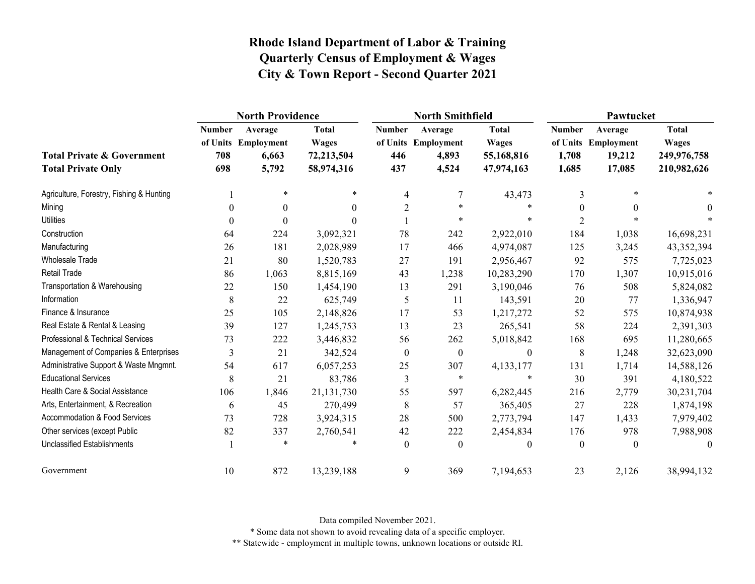|                                                                    |                             | <b>North Providence</b>                          |                                                          |                             | <b>North Smithfield</b>                          |                                                          | Pawtucket                       |                                                    |                                                            |
|--------------------------------------------------------------------|-----------------------------|--------------------------------------------------|----------------------------------------------------------|-----------------------------|--------------------------------------------------|----------------------------------------------------------|---------------------------------|----------------------------------------------------|------------------------------------------------------------|
| <b>Total Private &amp; Government</b><br><b>Total Private Only</b> | <b>Number</b><br>708<br>698 | Average<br>of Units Employment<br>6,663<br>5,792 | <b>Total</b><br><b>Wages</b><br>72,213,504<br>58,974,316 | <b>Number</b><br>446<br>437 | Average<br>of Units Employment<br>4,893<br>4,524 | <b>Total</b><br><b>Wages</b><br>55,168,816<br>47,974,163 | <b>Number</b><br>1,708<br>1,685 | Average<br>of Units Employment<br>19,212<br>17,085 | <b>Total</b><br><b>Wages</b><br>249,976,758<br>210,982,626 |
| Agriculture, Forestry, Fishing & Hunting                           |                             | $\ast$                                           | $\ast$                                                   | 4                           | 7                                                | 43,473                                                   | 3                               | $*$                                                |                                                            |
| Mining                                                             | $\theta$                    | $\mathbf{0}$                                     | $\Omega$                                                 | $\overline{2}$              | $\ast$                                           | $\ast$                                                   | $\theta$                        | $\Omega$                                           | $\theta$                                                   |
| <b>Utilities</b>                                                   | $\boldsymbol{0}$            | $\mathbf{0}$                                     | 0                                                        |                             | $\ast$                                           | $\ast$                                                   | $\overline{2}$                  |                                                    |                                                            |
| Construction                                                       | 64                          | 224                                              | 3,092,321                                                | 78                          | 242                                              | 2,922,010                                                | 184                             | 1,038                                              | 16,698,231                                                 |
| Manufacturing                                                      | 26                          | 181                                              | 2,028,989                                                | 17                          | 466                                              | 4,974,087                                                | 125                             | 3,245                                              | 43,352,394                                                 |
| <b>Wholesale Trade</b>                                             | 21                          | 80                                               | 1,520,783                                                | 27                          | 191                                              | 2,956,467                                                | 92                              | 575                                                | 7,725,023                                                  |
| <b>Retail Trade</b>                                                | 86                          | 1,063                                            | 8,815,169                                                | 43                          | 1,238                                            | 10,283,290                                               | 170                             | 1,307                                              | 10,915,016                                                 |
| Transportation & Warehousing                                       | 22                          | 150                                              | 1,454,190                                                | 13                          | 291                                              | 3,190,046                                                | 76                              | 508                                                | 5,824,082                                                  |
| Information                                                        | $\,8\,$                     | 22                                               | 625,749                                                  | 5                           | 11                                               | 143,591                                                  | 20                              | 77                                                 | 1,336,947                                                  |
| Finance & Insurance                                                | 25                          | 105                                              | 2,148,826                                                | 17                          | 53                                               | 1,217,272                                                | 52                              | 575                                                | 10,874,938                                                 |
| Real Estate & Rental & Leasing                                     | 39                          | 127                                              | 1,245,753                                                | 13                          | 23                                               | 265,541                                                  | 58                              | 224                                                | 2,391,303                                                  |
| Professional & Technical Services                                  | 73                          | 222                                              | 3,446,832                                                | 56                          | 262                                              | 5,018,842                                                | 168                             | 695                                                | 11,280,665                                                 |
| Management of Companies & Enterprises                              | 3                           | 21                                               | 342,524                                                  | $\boldsymbol{0}$            | $\boldsymbol{0}$                                 | $\boldsymbol{0}$                                         | $8\,$                           | 1,248                                              | 32,623,090                                                 |
| Administrative Support & Waste Mngmnt.                             | 54                          | 617                                              | 6,057,253                                                | 25                          | 307                                              | 4,133,177                                                | 131                             | 1,714                                              | 14,588,126                                                 |
| <b>Educational Services</b>                                        | 8                           | 21                                               | 83,786                                                   | 3                           | $\ast$                                           | $\ast$                                                   | 30                              | 391                                                | 4,180,522                                                  |
| Health Care & Social Assistance                                    | 106                         | 1,846                                            | 21,131,730                                               | 55                          | 597                                              | 6,282,445                                                | 216                             | 2,779                                              | 30,231,704                                                 |
| Arts, Entertainment, & Recreation                                  | 6                           | 45                                               | 270,499                                                  | 8                           | 57                                               | 365,405                                                  | 27                              | 228                                                | 1,874,198                                                  |
| <b>Accommodation &amp; Food Services</b>                           | 73                          | 728                                              | 3,924,315                                                | 28                          | 500                                              | 2,773,794                                                | 147                             | 1,433                                              | 7,979,402                                                  |
| Other services (except Public                                      | 82                          | 337                                              | 2,760,541                                                | 42                          | 222                                              | 2,454,834                                                | 176                             | 978                                                | 7,988,908                                                  |
| <b>Unclassified Establishments</b>                                 |                             | $\ast$                                           |                                                          | $\boldsymbol{0}$            | $\boldsymbol{0}$                                 | $\theta$                                                 | $\mathbf{0}$                    | $\mathbf{0}$                                       | $\theta$                                                   |
| Government                                                         | 10                          | 872                                              | 13,239,188                                               | 9                           | 369                                              | 7,194,653                                                | 23                              | 2,126                                              | 38,994,132                                                 |

Data compiled November 2021.

\* Some data not shown to avoid revealing data of a specific employer.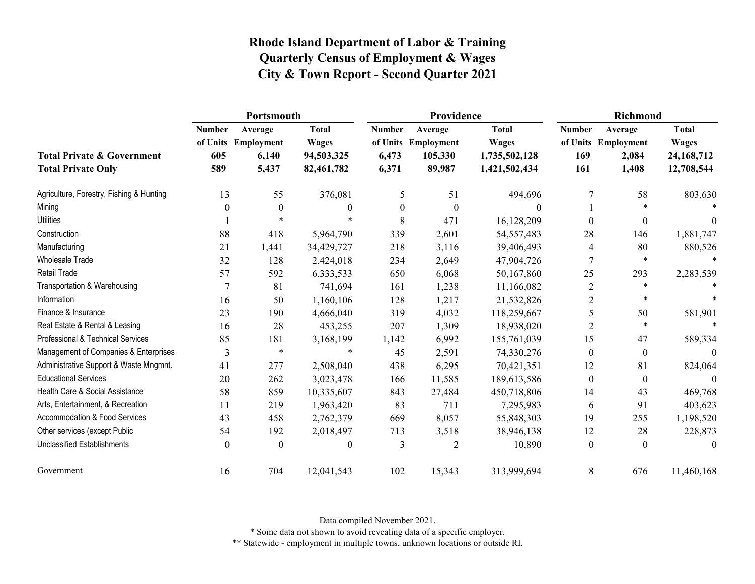|                                                                    | Portsmouth                  |                                                  |                                                          |                                 | Providence                                          |                                                                | <b>Richmond</b>             |                                                  |                                                            |
|--------------------------------------------------------------------|-----------------------------|--------------------------------------------------|----------------------------------------------------------|---------------------------------|-----------------------------------------------------|----------------------------------------------------------------|-----------------------------|--------------------------------------------------|------------------------------------------------------------|
| <b>Total Private &amp; Government</b><br><b>Total Private Only</b> | <b>Number</b><br>605<br>589 | Average<br>of Units Employment<br>6,140<br>5,437 | <b>Total</b><br><b>Wages</b><br>94,503,325<br>82,461,782 | <b>Number</b><br>6,473<br>6,371 | Average<br>of Units Employment<br>105,330<br>89,987 | <b>Total</b><br><b>Wages</b><br>1,735,502,128<br>1,421,502,434 | <b>Number</b><br>169<br>161 | Average<br>of Units Employment<br>2,084<br>1,408 | <b>Total</b><br><b>Wages</b><br>24, 168, 712<br>12,708,544 |
| Agriculture, Forestry, Fishing & Hunting                           | 13                          | 55                                               | 376,081                                                  | 5                               | 51                                                  | 494,696                                                        |                             | 58                                               | 803,630                                                    |
| Mining                                                             | 0                           | $\theta$                                         | 0                                                        | $\theta$                        | $\theta$                                            | 0                                                              |                             | $\ast$                                           |                                                            |
| <b>Utilities</b>                                                   |                             |                                                  | $\ast$                                                   | 8                               | 471                                                 | 16,128,209                                                     | $\theta$                    | $\boldsymbol{0}$                                 | $\Omega$                                                   |
| Construction                                                       | 88                          | 418                                              | 5,964,790                                                | 339                             | 2,601                                               | 54, 557, 483                                                   | 28                          | 146                                              | 1,881,747                                                  |
| Manufacturing                                                      | 21                          | 1,441                                            | 34,429,727                                               | 218                             | 3,116                                               | 39,406,493                                                     | 4                           | 80                                               | 880,526                                                    |
| <b>Wholesale Trade</b>                                             | 32                          | 128                                              | 2,424,018                                                | 234                             | 2,649                                               | 47,904,726                                                     | 7                           | $\ast$                                           | $\ast$                                                     |
| Retail Trade                                                       | 57                          | 592                                              | 6,333,533                                                | 650                             | 6,068                                               | 50,167,860                                                     | 25                          | 293                                              | 2,283,539                                                  |
| Transportation & Warehousing                                       |                             | 81                                               | 741,694                                                  | 161                             | 1,238                                               | 11,166,082                                                     | $\overline{2}$              | $\ast$                                           |                                                            |
| Information                                                        | 16                          | 50                                               | 1,160,106                                                | 128                             | 1,217                                               | 21,532,826                                                     | 2                           | *                                                |                                                            |
| Finance & Insurance                                                | 23                          | 190                                              | 4,666,040                                                | 319                             | 4,032                                               | 118,259,667                                                    | 5                           | 50                                               | 581,901                                                    |
| Real Estate & Rental & Leasing                                     | 16                          | 28                                               | 453,255                                                  | 207                             | 1,309                                               | 18,938,020                                                     | $\overline{2}$              | $\ast$                                           | $\ast$                                                     |
| Professional & Technical Services                                  | 85                          | 181                                              | 3,168,199                                                | 1,142                           | 6,992                                               | 155,761,039                                                    | 15                          | 47                                               | 589,334                                                    |
| Management of Companies & Enterprises                              | 3                           | $\ast$                                           | $\ast$                                                   | 45                              | 2,591                                               | 74,330,276                                                     | $\mathbf{0}$                | $\mathbf{0}$                                     | $\Omega$                                                   |
| Administrative Support & Waste Mngmnt.                             | 41                          | 277                                              | 2,508,040                                                | 438                             | 6,295                                               | 70,421,351                                                     | 12                          | 81                                               | 824,064                                                    |
| <b>Educational Services</b>                                        | 20                          | 262                                              | 3,023,478                                                | 166                             | 11,585                                              | 189,613,586                                                    | $\boldsymbol{0}$            | $\boldsymbol{0}$                                 | $\Omega$                                                   |
| Health Care & Social Assistance                                    | 58                          | 859                                              | 10,335,607                                               | 843                             | 27,484                                              | 450,718,806                                                    | 14                          | 43                                               | 469,768                                                    |
| Arts, Entertainment, & Recreation                                  | 11                          | 219                                              | 1,963,420                                                | 83                              | 711                                                 | 7,295,983                                                      | 6                           | 91                                               | 403,623                                                    |
| Accommodation & Food Services                                      | 43                          | 458                                              | 2,762,379                                                | 669                             | 8,057                                               | 55,848,303                                                     | 19                          | 255                                              | 1,198,520                                                  |
| Other services (except Public                                      | 54                          | 192                                              | 2,018,497                                                | 713                             | 3,518                                               | 38,946,138                                                     | 12                          | 28                                               | 228,873                                                    |
| <b>Unclassified Establishments</b>                                 | $\theta$                    | $\boldsymbol{0}$                                 | $\theta$                                                 | 3                               | 2                                                   | 10,890                                                         | $\boldsymbol{0}$            | $\boldsymbol{0}$                                 | $\theta$                                                   |
| Government                                                         | 16                          | 704                                              | 12,041,543                                               | 102                             | 15,343                                              | 313,999,694                                                    | 8                           | 676                                              | 11,460,168                                                 |

Data compiled November 2021.

\* Some data not shown to avoid revealing data of a specific employer.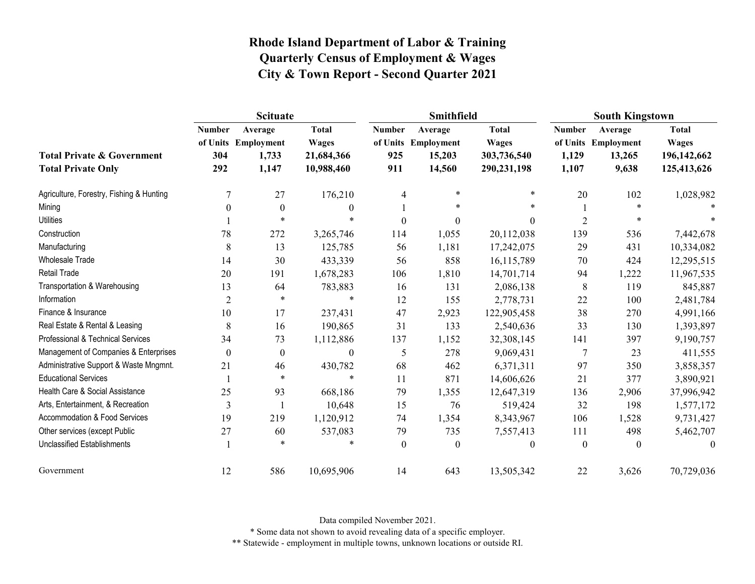|                                                                    | <b>Scituate</b>             |                                                  |                                                          |                             | Smithfield                                         |                                                            | <b>South Kingstown</b>          |                                                   |                                                            |
|--------------------------------------------------------------------|-----------------------------|--------------------------------------------------|----------------------------------------------------------|-----------------------------|----------------------------------------------------|------------------------------------------------------------|---------------------------------|---------------------------------------------------|------------------------------------------------------------|
| <b>Total Private &amp; Government</b><br><b>Total Private Only</b> | <b>Number</b><br>304<br>292 | Average<br>of Units Employment<br>1,733<br>1,147 | <b>Total</b><br><b>Wages</b><br>21,684,366<br>10,988,460 | <b>Number</b><br>925<br>911 | Average<br>of Units Employment<br>15,203<br>14,560 | <b>Total</b><br><b>Wages</b><br>303,736,540<br>290,231,198 | <b>Number</b><br>1,129<br>1,107 | Average<br>of Units Employment<br>13,265<br>9,638 | <b>Total</b><br><b>Wages</b><br>196,142,662<br>125,413,626 |
| Agriculture, Forestry, Fishing & Hunting                           | 7                           | 27                                               | 176,210                                                  | 4                           | $\ast$                                             | $\ast$                                                     | 20                              | 102                                               | 1,028,982                                                  |
| Mining                                                             | 0                           | $\theta$                                         | $\theta$                                                 |                             | $\ast$                                             |                                                            |                                 |                                                   |                                                            |
| <b>Utilities</b>                                                   |                             | $\ast$                                           | $\ast$                                                   | $\boldsymbol{0}$            | $\Omega$                                           | $\theta$                                                   | $\overline{2}$                  | $\ast$                                            |                                                            |
| Construction                                                       | 78                          | 272                                              | 3,265,746                                                | 114                         | 1,055                                              | 20,112,038                                                 | 139                             | 536                                               | 7,442,678                                                  |
| Manufacturing                                                      | 8                           | 13                                               | 125,785                                                  | 56                          | 1,181                                              | 17,242,075                                                 | 29                              | 431                                               | 10,334,082                                                 |
| <b>Wholesale Trade</b>                                             | 14                          | 30                                               | 433,339                                                  | 56                          | 858                                                | 16,115,789                                                 | 70                              | 424                                               | 12,295,515                                                 |
| <b>Retail Trade</b>                                                | 20                          | 191                                              | 1,678,283                                                | 106                         | 1,810                                              | 14,701,714                                                 | 94                              | 1,222                                             | 11,967,535                                                 |
| Transportation & Warehousing                                       | 13                          | 64                                               | 783,883                                                  | 16                          | 131                                                | 2,086,138                                                  | $8\,$                           | 119                                               | 845,887                                                    |
| Information                                                        | $\overline{2}$              | $\ast$                                           | *                                                        | 12                          | 155                                                | 2,778,731                                                  | 22                              | 100                                               | 2,481,784                                                  |
| Finance & Insurance                                                | 10                          | 17                                               | 237,431                                                  | 47                          | 2,923                                              | 122,905,458                                                | 38                              | 270                                               | 4,991,166                                                  |
| Real Estate & Rental & Leasing                                     | 8                           | 16                                               | 190,865                                                  | 31                          | 133                                                | 2,540,636                                                  | 33                              | 130                                               | 1,393,897                                                  |
| Professional & Technical Services                                  | 34                          | 73                                               | 1,112,886                                                | 137                         | 1,152                                              | 32,308,145                                                 | 141                             | 397                                               | 9,190,757                                                  |
| Management of Companies & Enterprises                              | 0                           | $\boldsymbol{0}$                                 | $\mathbf{0}$                                             | 5                           | 278                                                | 9,069,431                                                  | 7                               | 23                                                | 411,555                                                    |
| Administrative Support & Waste Mngmnt.                             | 21                          | 46                                               | 430,782                                                  | 68                          | 462                                                | 6,371,311                                                  | 97                              | 350                                               | 3,858,357                                                  |
| <b>Educational Services</b>                                        |                             | $\star$                                          | $\ast$                                                   | 11                          | 871                                                | 14,606,626                                                 | 21                              | 377                                               | 3,890,921                                                  |
| Health Care & Social Assistance                                    | 25                          | 93                                               | 668,186                                                  | 79                          | 1,355                                              | 12,647,319                                                 | 136                             | 2,906                                             | 37,996,942                                                 |
| Arts, Entertainment, & Recreation                                  | 3                           |                                                  | 10,648                                                   | 15                          | 76                                                 | 519,424                                                    | 32                              | 198                                               | 1,577,172                                                  |
| <b>Accommodation &amp; Food Services</b>                           | 19                          | 219                                              | 1,120,912                                                | 74                          | 1,354                                              | 8,343,967                                                  | 106                             | 1,528                                             | 9,731,427                                                  |
| Other services (except Public                                      | 27                          | 60                                               | 537,083                                                  | 79                          | 735                                                | 7,557,413                                                  | 111                             | 498                                               | 5,462,707                                                  |
| <b>Unclassified Establishments</b>                                 |                             | $\ast$                                           | $\ast$                                                   | $\mathbf{0}$                | $\boldsymbol{0}$                                   | $\theta$                                                   | $\overline{0}$                  | $\mathbf{0}$                                      | $\theta$                                                   |
| Government                                                         | 12                          | 586                                              | 10,695,906                                               | 14                          | 643                                                | 13,505,342                                                 | 22                              | 3,626                                             | 70,729,036                                                 |

Data compiled November 2021.

\* Some data not shown to avoid revealing data of a specific employer.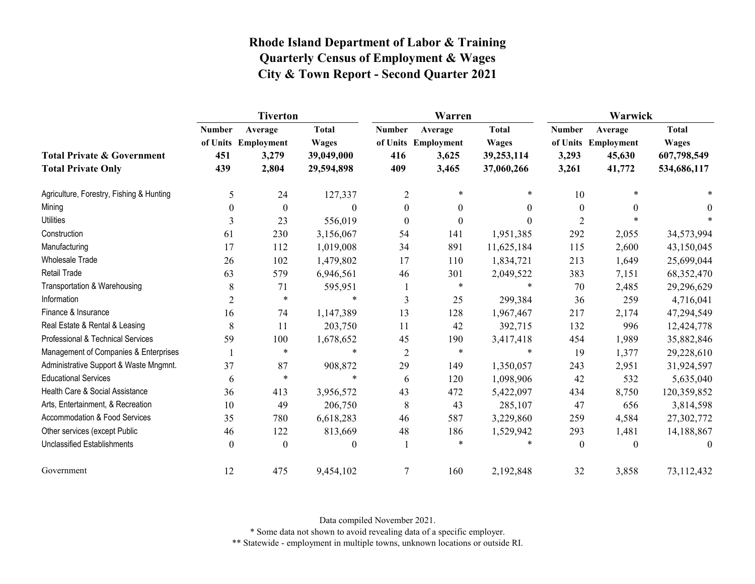|                                                                    | <b>Tiverton</b>             |                                                  |                                                          |                             | Warren                                           |                                                          | Warwick                         |                                                    |                                                            |  |
|--------------------------------------------------------------------|-----------------------------|--------------------------------------------------|----------------------------------------------------------|-----------------------------|--------------------------------------------------|----------------------------------------------------------|---------------------------------|----------------------------------------------------|------------------------------------------------------------|--|
| <b>Total Private &amp; Government</b><br><b>Total Private Only</b> | <b>Number</b><br>451<br>439 | Average<br>of Units Employment<br>3,279<br>2,804 | <b>Total</b><br><b>Wages</b><br>39,049,000<br>29,594,898 | <b>Number</b><br>416<br>409 | Average<br>of Units Employment<br>3,625<br>3,465 | <b>Total</b><br><b>Wages</b><br>39,253,114<br>37,060,266 | <b>Number</b><br>3,293<br>3,261 | Average<br>of Units Employment<br>45,630<br>41,772 | <b>Total</b><br><b>Wages</b><br>607,798,549<br>534,686,117 |  |
| Agriculture, Forestry, Fishing & Hunting                           | 5                           | 24                                               | 127,337                                                  | $\overline{c}$              | *                                                | *                                                        | 10                              |                                                    |                                                            |  |
| Mining                                                             | $\Omega$                    | $\boldsymbol{0}$                                 | $\Omega$                                                 | $\theta$                    | $\theta$                                         | $\theta$                                                 | $\theta$                        | 0                                                  | $\theta$                                                   |  |
| <b>Utilities</b>                                                   | 3                           | 23                                               | 556,019                                                  | $\boldsymbol{0}$            | $\boldsymbol{0}$                                 | $\theta$                                                 | $\overline{2}$                  |                                                    |                                                            |  |
| Construction                                                       | 61                          | 230                                              | 3,156,067                                                | 54                          | 141                                              | 1,951,385                                                | 292                             | 2,055                                              | 34,573,994                                                 |  |
| Manufacturing                                                      | 17                          | 112                                              | 1,019,008                                                | 34                          | 891                                              | 11,625,184                                               | 115                             | 2,600                                              | 43,150,045                                                 |  |
| <b>Wholesale Trade</b>                                             | 26                          | 102                                              | 1,479,802                                                | 17                          | 110                                              | 1,834,721                                                | 213                             | 1,649                                              | 25,699,044                                                 |  |
| <b>Retail Trade</b>                                                | 63                          | 579                                              | 6,946,561                                                | 46                          | 301                                              | 2,049,522                                                | 383                             | 7,151                                              | 68,352,470                                                 |  |
| Transportation & Warehousing                                       | 8                           | 71                                               | 595,951                                                  | -1                          | $\ast$                                           | $\ast$                                                   | 70                              | 2,485                                              | 29,296,629                                                 |  |
| Information                                                        | $\overline{2}$              | $\ast$                                           | $\ast$                                                   | 3                           | 25                                               | 299,384                                                  | 36                              | 259                                                | 4,716,041                                                  |  |
| Finance & Insurance                                                | 16                          | 74                                               | 1,147,389                                                | 13                          | 128                                              | 1,967,467                                                | 217                             | 2,174                                              | 47,294,549                                                 |  |
| Real Estate & Rental & Leasing                                     | $\,8\,$                     | 11                                               | 203,750                                                  | 11                          | 42                                               | 392,715                                                  | 132                             | 996                                                | 12,424,778                                                 |  |
| Professional & Technical Services                                  | 59                          | 100                                              | 1,678,652                                                | 45                          | 190                                              | 3,417,418                                                | 454                             | 1,989                                              | 35,882,846                                                 |  |
| Management of Companies & Enterprises                              |                             | $\ast$                                           | $\ast$                                                   | $\overline{2}$              | $\ast$                                           | $\ast$                                                   | 19                              | 1,377                                              | 29,228,610                                                 |  |
| Administrative Support & Waste Mngmnt.                             | 37                          | 87                                               | 908,872                                                  | 29                          | 149                                              | 1,350,057                                                | 243                             | 2,951                                              | 31,924,597                                                 |  |
| <b>Educational Services</b>                                        | 6                           | $\ast$                                           | $\star$                                                  | 6                           | 120                                              | 1,098,906                                                | 42                              | 532                                                | 5,635,040                                                  |  |
| Health Care & Social Assistance                                    | 36                          | 413                                              | 3,956,572                                                | 43                          | 472                                              | 5,422,097                                                | 434                             | 8,750                                              | 120,359,852                                                |  |
| Arts, Entertainment, & Recreation                                  | 10                          | 49                                               | 206,750                                                  | 8                           | 43                                               | 285,107                                                  | 47                              | 656                                                | 3,814,598                                                  |  |
| <b>Accommodation &amp; Food Services</b>                           | 35                          | 780                                              | 6,618,283                                                | 46                          | 587                                              | 3,229,860                                                | 259                             | 4,584                                              | 27,302,772                                                 |  |
| Other services (except Public                                      | 46                          | 122                                              | 813,669                                                  | 48                          | 186                                              | 1,529,942                                                | 293                             | 1,481                                              | 14,188,867                                                 |  |
| <b>Unclassified Establishments</b>                                 | $\boldsymbol{0}$            | $\boldsymbol{0}$                                 | $\theta$                                                 | -1                          | $\ast$                                           | $\ast$                                                   | $\theta$                        | $\Omega$                                           | $\theta$                                                   |  |
| Government                                                         | 12                          | 475                                              | 9,454,102                                                | 7                           | 160                                              | 2,192,848                                                | 32                              | 3,858                                              | 73,112,432                                                 |  |

Data compiled November 2021.

\* Some data not shown to avoid revealing data of a specific employer.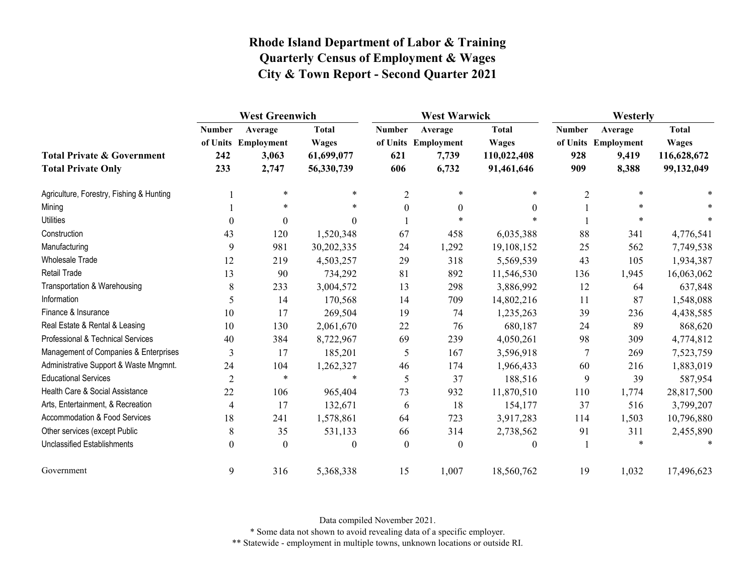|                                                                    | <b>West Greenwich</b>       |                                                  |                                                          | <b>West Warwick</b>         |                                                  |                                                           | Westerly                    |                                                  |                                                           |
|--------------------------------------------------------------------|-----------------------------|--------------------------------------------------|----------------------------------------------------------|-----------------------------|--------------------------------------------------|-----------------------------------------------------------|-----------------------------|--------------------------------------------------|-----------------------------------------------------------|
| <b>Total Private &amp; Government</b><br><b>Total Private Only</b> | <b>Number</b><br>242<br>233 | Average<br>of Units Employment<br>3,063<br>2,747 | <b>Total</b><br><b>Wages</b><br>61,699,077<br>56,330,739 | <b>Number</b><br>621<br>606 | Average<br>of Units Employment<br>7,739<br>6,732 | <b>Total</b><br><b>Wages</b><br>110,022,408<br>91,461,646 | <b>Number</b><br>928<br>909 | Average<br>of Units Employment<br>9,419<br>8,388 | <b>Total</b><br><b>Wages</b><br>116,628,672<br>99,132,049 |
| Agriculture, Forestry, Fishing & Hunting                           |                             | $\star$                                          | $\ast$                                                   | $\overline{2}$              | $\ast$                                           | $\star$                                                   | $\overline{2}$              | $\ast$                                           |                                                           |
| Mining                                                             |                             | $\ast$                                           | $\ast$                                                   | $\boldsymbol{0}$            | $\mathbf{0}$                                     | $\theta$                                                  |                             | $\ast$                                           |                                                           |
| <b>Utilities</b>                                                   | $\theta$                    | $\boldsymbol{0}$                                 | $\Omega$                                                 |                             | $\ast$                                           |                                                           |                             | $\ast$                                           |                                                           |
| Construction                                                       | 43                          | 120                                              | 1,520,348                                                | 67                          | 458                                              | 6,035,388                                                 | 88                          | 341                                              | 4,776,541                                                 |
| Manufacturing                                                      | 9                           | 981                                              | 30,202,335                                               | 24                          | 1,292                                            | 19,108,152                                                | 25                          | 562                                              | 7,749,538                                                 |
| Wholesale Trade                                                    | 12                          | 219                                              | 4,503,257                                                | 29                          | 318                                              | 5,569,539                                                 | 43                          | 105                                              | 1,934,387                                                 |
| <b>Retail Trade</b>                                                | 13                          | 90                                               | 734,292                                                  | 81                          | 892                                              | 11,546,530                                                | 136                         | 1,945                                            | 16,063,062                                                |
| Transportation & Warehousing                                       | 8                           | 233                                              | 3,004,572                                                | 13                          | 298                                              | 3,886,992                                                 | 12                          | 64                                               | 637,848                                                   |
| Information                                                        | 5                           | 14                                               | 170,568                                                  | 14                          | 709                                              | 14,802,216                                                | 11                          | 87                                               | 1,548,088                                                 |
| Finance & Insurance                                                | 10                          | 17                                               | 269,504                                                  | 19                          | 74                                               | 1,235,263                                                 | 39                          | 236                                              | 4,438,585                                                 |
| Real Estate & Rental & Leasing                                     | 10                          | 130                                              | 2,061,670                                                | 22                          | 76                                               | 680,187                                                   | 24                          | 89                                               | 868,620                                                   |
| Professional & Technical Services                                  | 40                          | 384                                              | 8,722,967                                                | 69                          | 239                                              | 4,050,261                                                 | 98                          | 309                                              | 4,774,812                                                 |
| Management of Companies & Enterprises                              | 3                           | 17                                               | 185,201                                                  | 5                           | 167                                              | 3,596,918                                                 | 7                           | 269                                              | 7,523,759                                                 |
| Administrative Support & Waste Mngmnt.                             | 24                          | 104                                              | 1,262,327                                                | 46                          | 174                                              | 1,966,433                                                 | 60                          | 216                                              | 1,883,019                                                 |
| <b>Educational Services</b>                                        | $\overline{2}$              | $\ast$                                           | $\ast$                                                   | 5                           | 37                                               | 188,516                                                   | 9                           | 39                                               | 587,954                                                   |
| Health Care & Social Assistance                                    | 22                          | 106                                              | 965,404                                                  | 73                          | 932                                              | 11,870,510                                                | 110                         | 1,774                                            | 28,817,500                                                |
| Arts, Entertainment, & Recreation                                  | $\overline{4}$              | 17                                               | 132,671                                                  | 6                           | 18                                               | 154,177                                                   | 37                          | 516                                              | 3,799,207                                                 |
| Accommodation & Food Services                                      | 18                          | 241                                              | 1,578,861                                                | 64                          | 723                                              | 3,917,283                                                 | 114                         | 1,503                                            | 10,796,880                                                |
| Other services (except Public                                      | 8                           | 35                                               | 531,133                                                  | 66                          | 314                                              | 2,738,562                                                 | 91                          | 311                                              | 2,455,890                                                 |
| <b>Unclassified Establishments</b>                                 | $\mathbf{0}$                | $\boldsymbol{0}$                                 | $\theta$                                                 | $\mathbf{0}$                | $\theta$                                         | $\theta$                                                  |                             | $\ast$                                           | $\ast$                                                    |
| Government                                                         | 9                           | 316                                              | 5,368,338                                                | 15                          | 1,007                                            | 18,560,762                                                | 19                          | 1,032                                            | 17,496,623                                                |

Data compiled November 2021.

\* Some data not shown to avoid revealing data of a specific employer.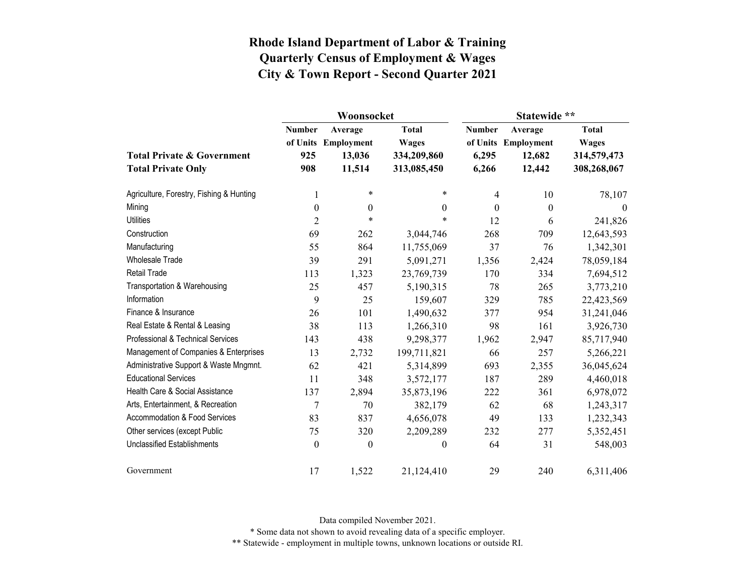|                                          |                           | Woonsocket            |                              | Statewide **     |                                |                              |  |
|------------------------------------------|---------------------------|-----------------------|------------------------------|------------------|--------------------------------|------------------------------|--|
|                                          | <b>Number</b><br>of Units | Average<br>Employment | <b>Total</b><br><b>Wages</b> | <b>Number</b>    | Average<br>of Units Employment | <b>Total</b><br><b>Wages</b> |  |
| <b>Total Private &amp; Government</b>    | 925<br>908                | 13,036<br>11,514      | 334,209,860                  | 6,295            | 12,682                         | 314,579,473                  |  |
| <b>Total Private Only</b>                |                           |                       | 313,085,450                  | 6,266            | 12,442                         | 308,268,067                  |  |
| Agriculture, Forestry, Fishing & Hunting | 1                         | $\ast$                | $\ast$                       | 4                | 10                             | 78,107                       |  |
| Mining                                   | $\boldsymbol{0}$          | $\boldsymbol{0}$      | $\boldsymbol{0}$             | $\boldsymbol{0}$ | $\boldsymbol{0}$               | $\overline{0}$               |  |
| <b>Utilities</b>                         | $\overline{2}$            | $\ast$                | $\ast$                       | 12               | 6                              | 241,826                      |  |
| Construction                             | 69                        | 262                   | 3,044,746                    | 268              | 709                            | 12,643,593                   |  |
| Manufacturing                            | 55                        | 864                   | 11,755,069                   | 37               | 76                             | 1,342,301                    |  |
| <b>Wholesale Trade</b>                   | 39                        | 291                   | 5,091,271                    | 1,356            | 2,424                          | 78,059,184                   |  |
| <b>Retail Trade</b>                      | 113                       | 1,323                 | 23,769,739                   | 170              | 334                            | 7,694,512                    |  |
| Transportation & Warehousing             | 25                        | 457                   | 5,190,315                    | 78               | 265                            | 3,773,210                    |  |
| Information                              | 9                         | 25                    | 159,607                      | 329              | 785                            | 22,423,569                   |  |
| Finance & Insurance                      | 26                        | 101                   | 1,490,632                    | 377              | 954                            | 31,241,046                   |  |
| Real Estate & Rental & Leasing           | 38                        | 113                   | 1,266,310                    | 98               | 161                            | 3,926,730                    |  |
| Professional & Technical Services        | 143                       | 438                   | 9,298,377                    | 1,962            | 2,947                          | 85,717,940                   |  |
| Management of Companies & Enterprises    | 13                        | 2,732                 | 199,711,821                  | 66               | 257                            | 5,266,221                    |  |
| Administrative Support & Waste Mngmnt.   | 62                        | 421                   | 5,314,899                    | 693              | 2,355                          | 36,045,624                   |  |
| <b>Educational Services</b>              | 11                        | 348                   | 3,572,177                    | 187              | 289                            | 4,460,018                    |  |
| Health Care & Social Assistance          | 137                       | 2,894                 | 35,873,196                   | 222              | 361                            | 6,978,072                    |  |
| Arts, Entertainment, & Recreation        | 7                         | 70                    | 382,179                      | 62               | 68                             | 1,243,317                    |  |
| Accommodation & Food Services            | 83                        | 837                   | 4,656,078                    | 49               | 133                            | 1,232,343                    |  |
| Other services (except Public            | 75                        | 320                   | 2,209,289                    | 232              | 277                            | 5,352,451                    |  |
| <b>Unclassified Establishments</b>       | $\boldsymbol{0}$          | $\boldsymbol{0}$      | $\boldsymbol{0}$             | 64               | 31                             | 548,003                      |  |
| Government                               | 17                        | 1,522                 | 21,124,410                   | 29               | 240                            | 6,311,406                    |  |

Data compiled November 2021.

\* Some data not shown to avoid revealing data of a specific employer.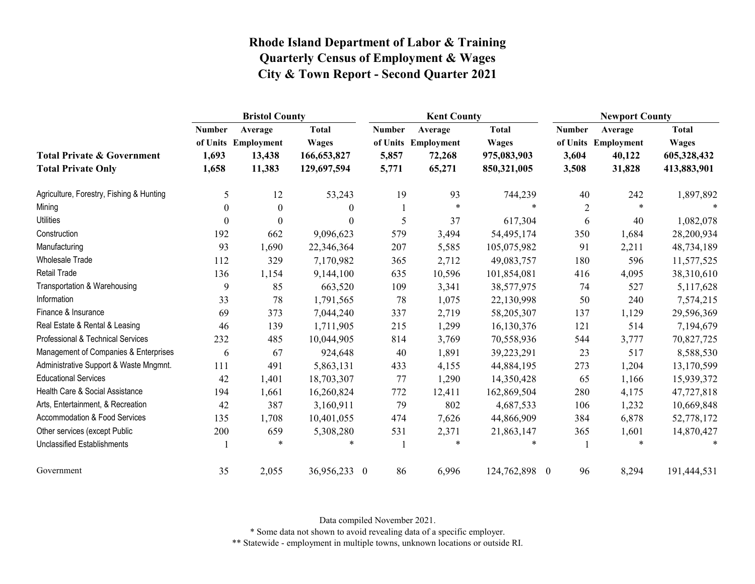|                                                                    | <b>Bristol County</b>           |                                                    |                                                            |                                 | <b>Kent County</b>                                 |                                                            |                                 | <b>Newport County</b>                              |                                                            |  |
|--------------------------------------------------------------------|---------------------------------|----------------------------------------------------|------------------------------------------------------------|---------------------------------|----------------------------------------------------|------------------------------------------------------------|---------------------------------|----------------------------------------------------|------------------------------------------------------------|--|
| <b>Total Private &amp; Government</b><br><b>Total Private Only</b> | <b>Number</b><br>1,693<br>1,658 | Average<br>of Units Employment<br>13,438<br>11,383 | <b>Total</b><br><b>Wages</b><br>166,653,827<br>129,697,594 | <b>Number</b><br>5,857<br>5,771 | Average<br>of Units Employment<br>72,268<br>65,271 | <b>Total</b><br><b>Wages</b><br>975,083,903<br>850,321,005 | <b>Number</b><br>3,604<br>3,508 | Average<br>of Units Employment<br>40,122<br>31,828 | <b>Total</b><br><b>Wages</b><br>605,328,432<br>413,883,901 |  |
| Agriculture, Forestry, Fishing & Hunting                           | 5                               | 12                                                 | 53,243                                                     | 19                              | 93                                                 | 744,239                                                    | 40                              | 242                                                | 1,897,892                                                  |  |
| Mining                                                             | $\Omega$                        | $\Omega$                                           | $\mathbf{0}$                                               |                                 | $\ast$                                             | $\star$                                                    | $\overline{2}$                  | $\ast$                                             |                                                            |  |
| <b>Utilities</b>                                                   | $\theta$                        | $\Omega$                                           | $\theta$                                                   | 5                               | 37                                                 | 617,304                                                    | 6                               | 40                                                 | 1,082,078                                                  |  |
| Construction                                                       | 192                             | 662                                                | 9,096,623                                                  | 579                             | 3,494                                              | 54,495,174                                                 | 350                             | 1,684                                              | 28,200,934                                                 |  |
| Manufacturing                                                      | 93                              | 1,690                                              | 22,346,364                                                 | 207                             | 5,585                                              | 105,075,982                                                | 91                              | 2,211                                              | 48,734,189                                                 |  |
| <b>Wholesale Trade</b>                                             | 112                             | 329                                                | 7,170,982                                                  | 365                             | 2,712                                              | 49,083,757                                                 | 180                             | 596                                                | 11,577,525                                                 |  |
| Retail Trade                                                       | 136                             | 1,154                                              | 9,144,100                                                  | 635                             | 10,596                                             | 101,854,081                                                | 416                             | 4,095                                              | 38,310,610                                                 |  |
| Transportation & Warehousing                                       | 9                               | 85                                                 | 663,520                                                    | 109                             | 3,341                                              | 38,577,975                                                 | 74                              | 527                                                | 5,117,628                                                  |  |
| Information                                                        | 33                              | 78                                                 | 1,791,565                                                  | 78                              | 1,075                                              | 22,130,998                                                 | 50                              | 240                                                | 7,574,215                                                  |  |
| Finance & Insurance                                                | 69                              | 373                                                | 7,044,240                                                  | 337                             | 2,719                                              | 58,205,307                                                 | 137                             | 1,129                                              | 29,596,369                                                 |  |
| Real Estate & Rental & Leasing                                     | 46                              | 139                                                | 1,711,905                                                  | 215                             | 1,299                                              | 16,130,376                                                 | 121                             | 514                                                | 7,194,679                                                  |  |
| Professional & Technical Services                                  | 232                             | 485                                                | 10,044,905                                                 | 814                             | 3,769                                              | 70,558,936                                                 | 544                             | 3,777                                              | 70,827,725                                                 |  |
| Management of Companies & Enterprises                              | 6                               | 67                                                 | 924,648                                                    | 40                              | 1,891                                              | 39,223,291                                                 | 23                              | 517                                                | 8,588,530                                                  |  |
| Administrative Support & Waste Mngmnt.                             | 111                             | 491                                                | 5,863,131                                                  | 433                             | 4,155                                              | 44,884,195                                                 | 273                             | 1,204                                              | 13,170,599                                                 |  |
| <b>Educational Services</b>                                        | 42                              | 1,401                                              | 18,703,307                                                 | 77                              | 1,290                                              | 14,350,428                                                 | 65                              | 1,166                                              | 15,939,372                                                 |  |
| Health Care & Social Assistance                                    | 194                             | 1,661                                              | 16,260,824                                                 | 772                             | 12,411                                             | 162,869,504                                                | 280                             | 4,175                                              | 47,727,818                                                 |  |
| Arts, Entertainment, & Recreation                                  | 42                              | 387                                                | 3,160,911                                                  | 79                              | 802                                                | 4,687,533                                                  | 106                             | 1,232                                              | 10,669,848                                                 |  |
| Accommodation & Food Services                                      | 135                             | 1,708                                              | 10,401,055                                                 | 474                             | 7,626                                              | 44,866,909                                                 | 384                             | 6,878                                              | 52,778,172                                                 |  |
| Other services (except Public                                      | 200                             | 659                                                | 5,308,280                                                  | 531                             | 2,371                                              | 21,863,147                                                 | 365                             | 1,601                                              | 14,870,427                                                 |  |
| <b>Unclassified Establishments</b>                                 |                                 | $\ast$                                             | *                                                          |                                 | $\star$                                            | 冰                                                          |                                 | *                                                  |                                                            |  |
| Government                                                         | 35                              | 2,055                                              | 36,956,233 0                                               | 86                              | 6,996                                              | 124,762,898 0                                              | 96                              | 8,294                                              | 191,444,531                                                |  |

Data compiled November 2021.

\* Some data not shown to avoid revealing data of a specific employer.